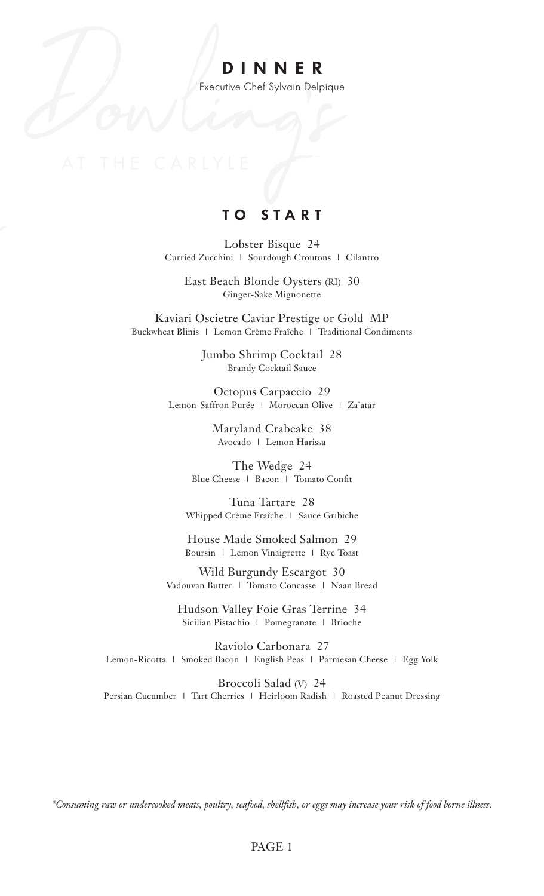# **DINNER**

Executive Chef Sylvain Delpique

## **TO START**

Lobster Bisque 24 Curried Zucchini | Sourdough Croutons | Cilantro

East Beach Blonde Oysters (RI) 30 Ginger-Sake Mignonette

Kaviari Oscietre Caviar Prestige or Gold MP Buckwheat Blinis | Lemon Crème Fraîche | Traditional Condiments

> Jumbo Shrimp Cocktail 28 Brandy Cocktail Sauce

Octopus Carpaccio 29 Lemon-Saffron Purée | Moroccan Olive | Za'atar

> Maryland Crabcake 38 Avocado | Lemon Harissa

The Wedge 24 Blue Cheese | Bacon | Tomato Confit

Tuna Tartare 28 Whipped Crème Fraîche | Sauce Gribiche

House Made Smoked Salmon 29 Boursin | Lemon Vinaigrette | Rye Toast

Wild Burgundy Escargot 30 Vadouvan Butter | Tomato Concasse | Naan Bread

Hudson Valley Foie Gras Terrine 34 Sicilian Pistachio | Pomegranate | Brioche

Raviolo Carbonara 27 Lemon-Ricotta | Smoked Bacon | English Peas | Parmesan Cheese | Egg Yolk

Broccoli Salad (V) 24 Persian Cucumber | Tart Cherries | Heirloom Radish | Roasted Peanut Dressing

*\*Consuming raw or undercooked meats, poultry, seafood, shellfish, or eggs may increase your risk of food borne illness.*

#### PAGE 1